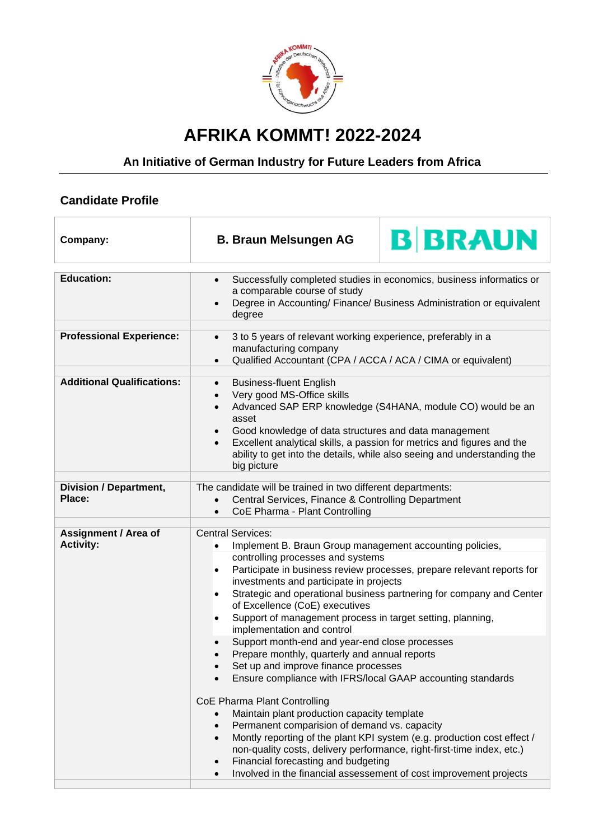

## **AFRIKA KOMMT! 2022-2024**

## **An Initiative of German Industry for Future Leaders from Africa**

## **Candidate Profile**

| Company:                                        | <b>B BRAUN</b><br><b>B. Braun Melsungen AG</b>                                                                                                                                                                                                                                                                                                                                                                                                                                                                                                                                                                                                                                                                                                                                                                                                                                                                                                                                                                                                                                                                                                             |
|-------------------------------------------------|------------------------------------------------------------------------------------------------------------------------------------------------------------------------------------------------------------------------------------------------------------------------------------------------------------------------------------------------------------------------------------------------------------------------------------------------------------------------------------------------------------------------------------------------------------------------------------------------------------------------------------------------------------------------------------------------------------------------------------------------------------------------------------------------------------------------------------------------------------------------------------------------------------------------------------------------------------------------------------------------------------------------------------------------------------------------------------------------------------------------------------------------------------|
| <b>Education:</b>                               | Successfully completed studies in economics, business informatics or<br>$\bullet$<br>a comparable course of study<br>Degree in Accounting/ Finance/ Business Administration or equivalent<br>degree                                                                                                                                                                                                                                                                                                                                                                                                                                                                                                                                                                                                                                                                                                                                                                                                                                                                                                                                                        |
| <b>Professional Experience:</b>                 | 3 to 5 years of relevant working experience, preferably in a<br>$\bullet$<br>manufacturing company<br>Qualified Accountant (CPA / ACCA / ACA / CIMA or equivalent)<br>$\bullet$                                                                                                                                                                                                                                                                                                                                                                                                                                                                                                                                                                                                                                                                                                                                                                                                                                                                                                                                                                            |
| <b>Additional Qualifications:</b>               | <b>Business-fluent English</b><br>$\bullet$<br>Very good MS-Office skills<br>$\bullet$<br>Advanced SAP ERP knowledge (S4HANA, module CO) would be an<br>$\bullet$<br>asset<br>Good knowledge of data structures and data management<br>Excellent analytical skills, a passion for metrics and figures and the<br>ability to get into the details, while also seeing and understanding the<br>big picture                                                                                                                                                                                                                                                                                                                                                                                                                                                                                                                                                                                                                                                                                                                                                   |
| <b>Division / Department,</b><br>Place:         | The candidate will be trained in two different departments:<br>Central Services, Finance & Controlling Department<br>CoE Pharma - Plant Controlling<br>$\bullet$                                                                                                                                                                                                                                                                                                                                                                                                                                                                                                                                                                                                                                                                                                                                                                                                                                                                                                                                                                                           |
| <b>Assignment / Area of</b><br><b>Activity:</b> | <b>Central Services:</b><br>Implement B. Braun Group management accounting policies,<br>$\bullet$<br>controlling processes and systems<br>Participate in business review processes, prepare relevant reports for<br>$\bullet$<br>investments and participate in projects<br>Strategic and operational business partnering for company and Center<br>$\bullet$<br>of Excellence (CoE) executives<br>Support of management process in target setting, planning,<br>implementation and control<br>Support month-end and year-end close processes<br>Prepare monthly, quarterly and annual reports<br>Set up and improve finance processes<br>Ensure compliance with IFRS/local GAAP accounting standards<br>CoE Pharma Plant Controlling<br>Maintain plant production capacity template<br>Permanent comparision of demand vs. capacity<br>$\bullet$<br>Montly reporting of the plant KPI system (e.g. production cost effect /<br>$\bullet$<br>non-quality costs, delivery performance, right-first-time index, etc.)<br>Financial forecasting and budgeting<br>$\bullet$<br>Involved in the financial assessement of cost improvement projects<br>$\bullet$ |